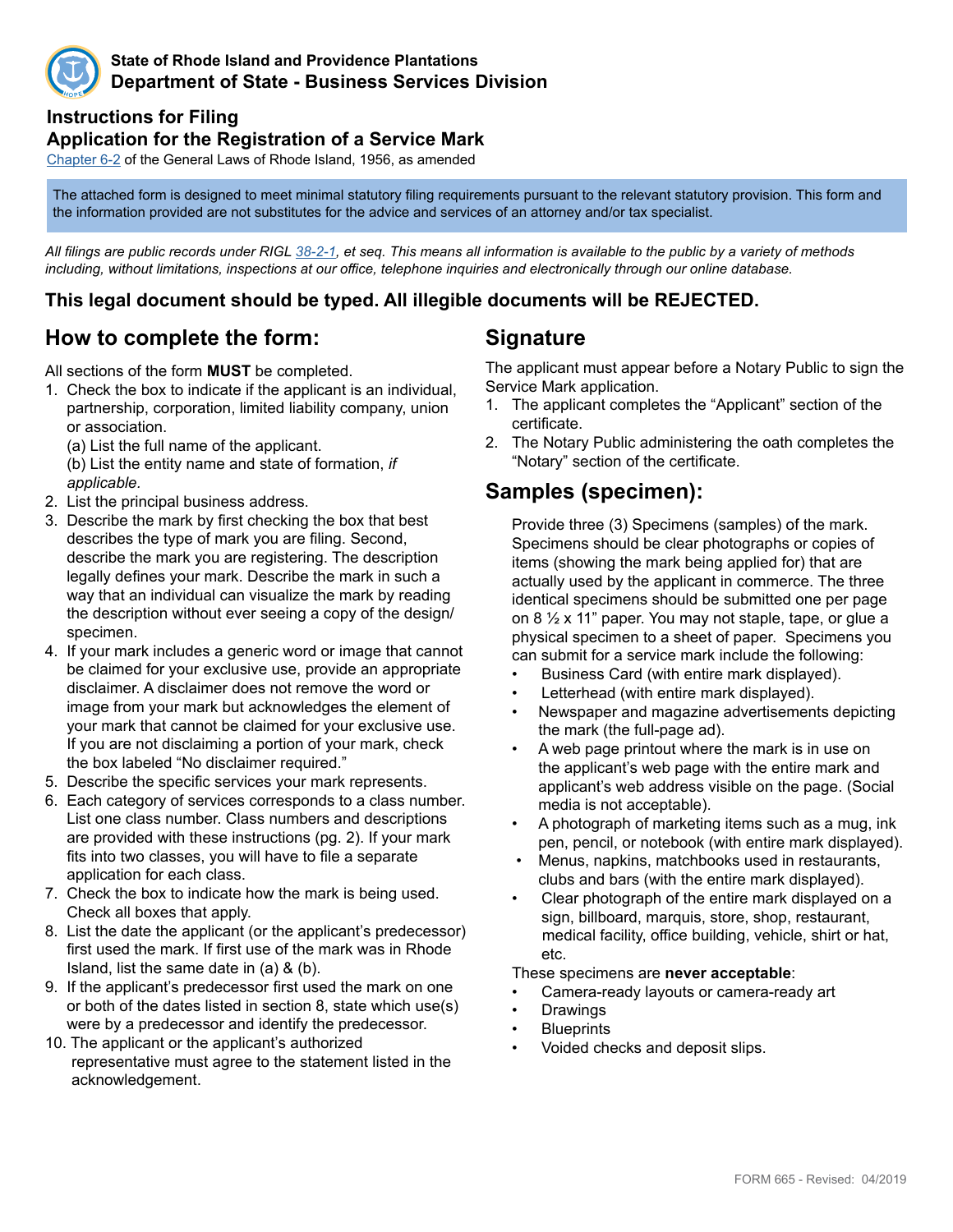

#### **State of Rhode Island and Providence Plantations Department of State - Business Services Division**

#### **Instructions for Filing**

#### **Application for the Registration of a Service Mark**

Chapte[r 6](http://webserver.rilin.state.ri.us/Statutes/TITLE6/6-2/INDEX.HTM)-2 of the General Laws of Rhode Island, 1956, as amended

The attached form is designed to meet minimal statutory filing requirements pursuant to the relevant statutory provision. This form and the information provided are not substitutes for the advice and services of an attorney and/or tax specialist.

*All filings are public records under RIGL [38-2-1](http://webserver.rilin.state.ri.us/Statutes/TITLE38/38-2/38-2-1.HTM), et seq. This means all information is available to the public by a variety of methods including, without limitations, inspections at our office, telephone inquiries and electronically through our online database.*

#### **This legal document should be typed. All illegible documents will be REJECTED.**

### **How to complete the form:**

All sections of the form **MUST** be completed.

1. Check the box to indicate if the applicant is an individual, partnership, corporation, limited liability company, union or association.

 (a) List the full name of the applicant. (b) List the entity name and state of formation, *if applicable.*

- 2. List the principal business address.
- 3. Describe the mark by first checking the box that best describes the type of mark you are filing. Second, describe the mark you are registering. The description legally defines your mark. Describe the mark in such a way that an individual can visualize the mark by reading the description without ever seeing a copy of the design/ specimen.
- 4. If your mark includes a generic word or image that cannot be claimed for your exclusive use, provide an appropriate disclaimer. A disclaimer does not remove the word or image from your mark but acknowledges the element of your mark that cannot be claimed for your exclusive use. If you are not disclaiming a portion of your mark, check the box labeled "No disclaimer required."
- 5. Describe the specific services your mark represents.
- 6. Each category of services corresponds to a class number. List one class number. Class numbers and descriptions are provided with these instructions (pg. 2). If your mark fits into two classes, you will have to file a separate application for each class.
- 7. Check the box to indicate how the mark is being used. Check all boxes that apply.
- 8. List the date the applicant (or the applicant's predecessor) first used the mark. If first use of the mark was in Rhode Island, list the same date in (a) & (b).
- 9. If the applicant's predecessor first used the mark on one or both of the dates listed in section 8, state which use(s) were by a predecessor and identify the predecessor.
- 10. The applicant or the applicant's authorized representative must agree to the statement listed in the acknowledgement.

### **Signature**

The applicant must appear before a Notary Public to sign the Service Mark application.

- 1. The applicant completes the "Applicant" section of the certificate.
- 2. The Notary Public administering the oath completes the "Notary" section of the certificate.

### **Samples (specimen):**

Provide three (3) Specimens (samples) of the mark. Specimens should be clear photographs or copies of items (showing the mark being applied for) that are actually used by the applicant in commerce. The three identical specimens should be submitted one per page on 8 ½ x 11" paper. You may not staple, tape, or glue a physical specimen to a sheet of paper. Specimens you can submit for a service mark include the following:

- Business Card (with entire mark displayed).
- Letterhead (with entire mark displayed).
- Newspaper and magazine advertisements depicting the mark (the full-page ad).
- A web page printout where the mark is in use on the applicant's web page with the entire mark and applicant's web address visible on the page. (Social media is not acceptable).
- A photograph of marketing items such as a mug, ink pen, pencil, or notebook (with entire mark displayed).
- Menus, napkins, matchbooks used in restaurants, clubs and bars (with the entire mark displayed).
- Clear photograph of the entire mark displayed on a sign, billboard, marquis, store, shop, restaurant, medical facility, office building, vehicle, shirt or hat, etc.

These specimens are **never acceptable**:

- Camera-ready layouts or camera-ready art
- **Drawings**
- **Blueprints**
- Voided checks and deposit slips.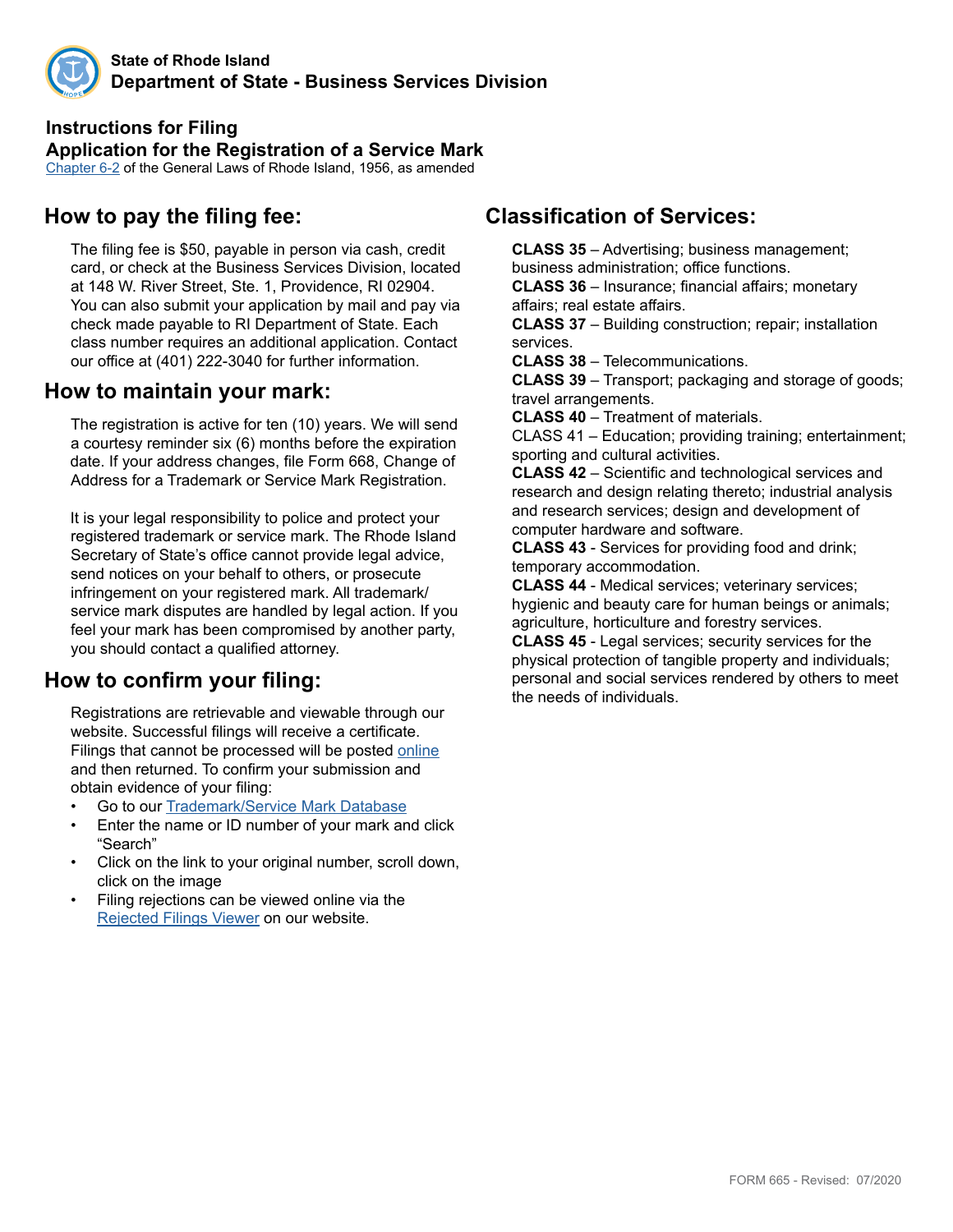

# **Instructions for Filing**

**Application for the Registration of a Service Mark** Chapter6-2 of the General Laws of Rhode Island, 1956, as amended

## **How to pay the filing fee:**

The filing fee is \$50, payable in person via cash, credit card, or check at the Business Services Division, located at 148 W. River Street, Ste. 1, Providence, RI 02904. You can also submit your application by mail and pay via check made payable to RI Department of State. Each class number requires an additional application. Contact our office at (401) 222-3040 for further information.

### **How to maintain your mark:**

The registration is active for ten (10) years. We will send a courtesy reminder six (6) months before the expiration date. If your address changes, file Form 668, Change of Address for a Trademark or Service Mark Registration.

 It is your legal responsibility to police and protect your registered trademark or service mark. The Rhode Island Secretary of State's office cannot provide legal advice, send notices on your behalf to others, or prosecute infringement on your registered mark. All trademark/ service mark disputes are handled by legal action. If you feel your mark has been compromised by another party, you should contact a qualified attorney.

# **How to confirm your filing:**

Registrations are retrievable and viewable through our website. Successful filings will receive a certificate. Filings that cannot be processed will be posted [online](http://business.sos.ri.gov/corpreject/corprejectionslist.asp) and then returned. To confirm your submission and obtain evidence of your filing:

- Go to our Trademark/Service Mark [Database](http://business.sos.ri.gov/corpweb/TrademarkSearch/TrademarkSearch.aspx)
- Enter the name or ID number of your mark and click "Search"
- Click on the link to your original number, scroll down, click on the image
- Filing rejections can be viewed online via the [Rejected Filings Viewer](http://business.sos.ri.gov/corpreject/corprejectionslist.asp) on our website.

## **Classification of Services:**

**CLASS 35** – Advertising; business management; business administration; office functions.

**CLASS 36** – Insurance; financial affairs; monetary affairs; real estate affairs.

**CLASS 37** – Building construction; repair; installation services.

**CLASS 38** – Telecommunications.

**CLASS 39** – Transport; packaging and storage of goods; travel arrangements.

**CLASS 40** – Treatment of materials.

CLASS 41 – Education; providing training; entertainment; sporting and cultural activities.

**CLASS 42** – Scientific and technological services and research and design relating thereto; industrial analysis and research services; design and development of computer hardware and software.

**CLASS 43** - Services for providing food and drink; temporary accommodation.

**CLASS 44** - Medical services; veterinary services; hygienic and beauty care for human beings or animals; agriculture, horticulture and forestry services.

**CLASS 45** - Legal services; security services for the physical protection of tangible property and individuals; personal and social services rendered by others to meet the needs of individuals.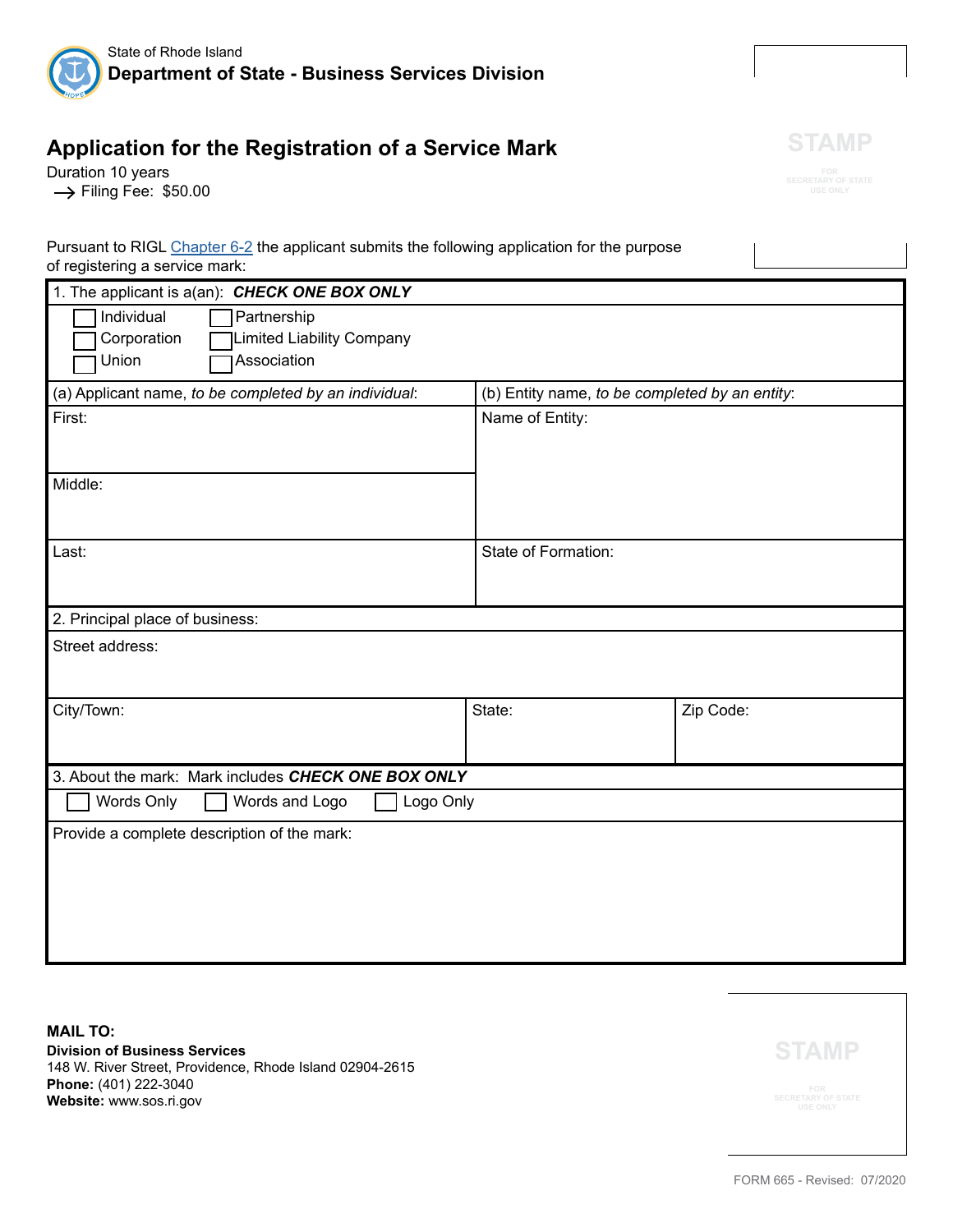

# **Application for the Registration of a Service Mark**

Duration 10 years  $\rightarrow$  Filing Fee: \$50.00



|                                | Pursuant to RIGL Chapter 6-2 the applicant submits the following application for the purpose |  |
|--------------------------------|----------------------------------------------------------------------------------------------|--|
| of registering a service mark: |                                                                                              |  |
|                                |                                                                                              |  |

| 1. The applicant is a(an): CHECK ONE BOX ONLY         |                                                |           |  |  |
|-------------------------------------------------------|------------------------------------------------|-----------|--|--|
| Individual<br>Partnership                             |                                                |           |  |  |
| Corporation<br>Limited Liability Company              |                                                |           |  |  |
| Association<br>Union                                  |                                                |           |  |  |
| (a) Applicant name, to be completed by an individual: | (b) Entity name, to be completed by an entity: |           |  |  |
| First:                                                | Name of Entity:                                |           |  |  |
|                                                       |                                                |           |  |  |
|                                                       |                                                |           |  |  |
| Middle:                                               |                                                |           |  |  |
|                                                       |                                                |           |  |  |
|                                                       |                                                |           |  |  |
| Last:                                                 | State of Formation:                            |           |  |  |
|                                                       |                                                |           |  |  |
| 2. Principal place of business:                       |                                                |           |  |  |
| Street address:                                       |                                                |           |  |  |
|                                                       |                                                |           |  |  |
|                                                       |                                                |           |  |  |
| City/Town:                                            | State:                                         | Zip Code: |  |  |
|                                                       |                                                |           |  |  |
| 3. About the mark: Mark includes CHECK ONE BOX ONLY   |                                                |           |  |  |
|                                                       |                                                |           |  |  |
| Words Only<br>Logo Only<br>Words and Logo             |                                                |           |  |  |
| Provide a complete description of the mark:           |                                                |           |  |  |
|                                                       |                                                |           |  |  |
|                                                       |                                                |           |  |  |
|                                                       |                                                |           |  |  |
|                                                       |                                                |           |  |  |
|                                                       |                                                |           |  |  |

**MAIL TO: Division of Business Services** 148 W. River Street, Providence, Rhode Island 02904-2615 **Phone:** (401) 222-3040 **Website:** www.sos.ri.gov

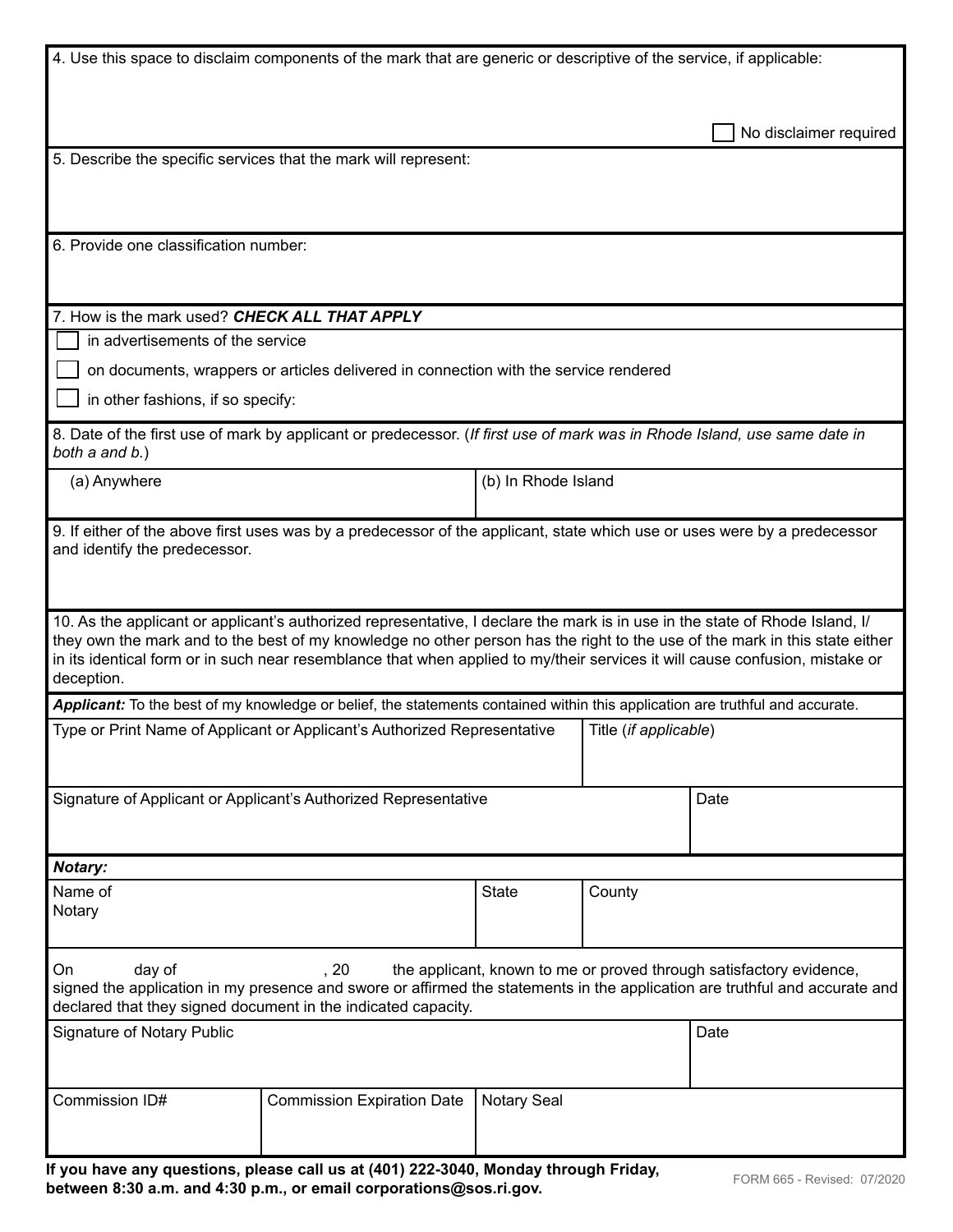| 4. Use this space to disclaim components of the mark that are generic or descriptive of the service, if applicable:                                                                                                                                                                                                                                                                                       |                                                                                                                               |                     |        |                        |
|-----------------------------------------------------------------------------------------------------------------------------------------------------------------------------------------------------------------------------------------------------------------------------------------------------------------------------------------------------------------------------------------------------------|-------------------------------------------------------------------------------------------------------------------------------|---------------------|--------|------------------------|
|                                                                                                                                                                                                                                                                                                                                                                                                           |                                                                                                                               |                     |        | No disclaimer required |
|                                                                                                                                                                                                                                                                                                                                                                                                           | 5. Describe the specific services that the mark will represent:                                                               |                     |        |                        |
|                                                                                                                                                                                                                                                                                                                                                                                                           |                                                                                                                               |                     |        |                        |
| 6. Provide one classification number:                                                                                                                                                                                                                                                                                                                                                                     |                                                                                                                               |                     |        |                        |
| 7. How is the mark used? CHECK ALL THAT APPLY                                                                                                                                                                                                                                                                                                                                                             |                                                                                                                               |                     |        |                        |
| in advertisements of the service                                                                                                                                                                                                                                                                                                                                                                          |                                                                                                                               |                     |        |                        |
|                                                                                                                                                                                                                                                                                                                                                                                                           | on documents, wrappers or articles delivered in connection with the service rendered                                          |                     |        |                        |
| in other fashions, if so specify:                                                                                                                                                                                                                                                                                                                                                                         |                                                                                                                               |                     |        |                        |
| both a and b.)                                                                                                                                                                                                                                                                                                                                                                                            | 8. Date of the first use of mark by applicant or predecessor. (If first use of mark was in Rhode Island, use same date in     |                     |        |                        |
| (a) Anywhere                                                                                                                                                                                                                                                                                                                                                                                              |                                                                                                                               | (b) In Rhode Island |        |                        |
| 9. If either of the above first uses was by a predecessor of the applicant, state which use or uses were by a predecessor<br>and identify the predecessor.                                                                                                                                                                                                                                                |                                                                                                                               |                     |        |                        |
| 10. As the applicant or applicant's authorized representative, I declare the mark is in use in the state of Rhode Island, I/<br>they own the mark and to the best of my knowledge no other person has the right to the use of the mark in this state either<br>in its identical form or in such near resemblance that when applied to my/their services it will cause confusion, mistake or<br>deception. |                                                                                                                               |                     |        |                        |
|                                                                                                                                                                                                                                                                                                                                                                                                           | Applicant: To the best of my knowledge or belief, the statements contained within this application are truthful and accurate. |                     |        |                        |
| Type or Print Name of Applicant or Applicant's Authorized Representative<br>Title (if applicable)                                                                                                                                                                                                                                                                                                         |                                                                                                                               |                     |        |                        |
|                                                                                                                                                                                                                                                                                                                                                                                                           | Signature of Applicant or Applicant's Authorized Representative                                                               |                     |        | Date                   |
| <b>Notary:</b>                                                                                                                                                                                                                                                                                                                                                                                            |                                                                                                                               |                     |        |                        |
| Name of<br>Notary                                                                                                                                                                                                                                                                                                                                                                                         |                                                                                                                               | <b>State</b>        | County |                        |
| day of<br>, 20<br>the applicant, known to me or proved through satisfactory evidence,<br>On<br>signed the application in my presence and swore or affirmed the statements in the application are truthful and accurate and<br>declared that they signed document in the indicated capacity.                                                                                                               |                                                                                                                               |                     |        |                        |
| <b>Signature of Notary Public</b>                                                                                                                                                                                                                                                                                                                                                                         |                                                                                                                               |                     |        | Date                   |
| Commission ID#                                                                                                                                                                                                                                                                                                                                                                                            | <b>Commission Expiration Date</b>                                                                                             | <b>Notary Seal</b>  |        |                        |

| If you have any questions, please call us at (401) 222-3040, Monday through Friday, | FORM 665 - Revised: 07/2020 |  |
|-------------------------------------------------------------------------------------|-----------------------------|--|
| between 8:30 a.m. and 4:30 p.m., or email corporations@sos.ri.gov.                  |                             |  |